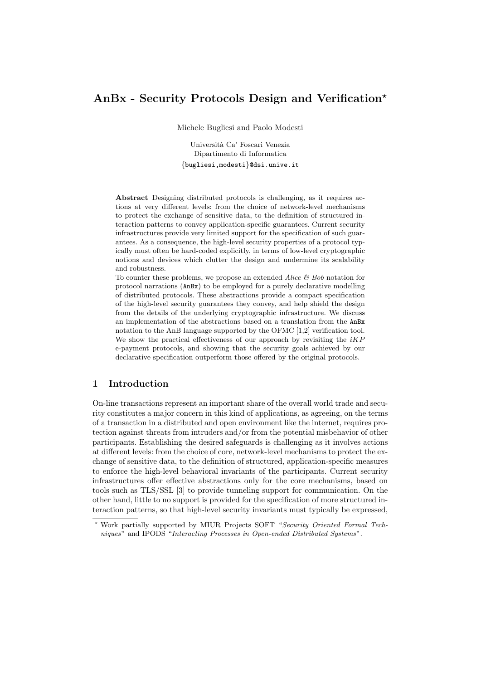# AnBx - Security Protocols Design and Verification?

Michele Bugliesi and Paolo Modesti

Universit`a Ca' Foscari Venezia Dipartimento di Informatica {bugliesi,modesti}@dsi.unive.it

Abstract Designing distributed protocols is challenging, as it requires actions at very different levels: from the choice of network-level mechanisms to protect the exchange of sensitive data, to the definition of structured interaction patterns to convey application-specific guarantees. Current security infrastructures provide very limited support for the specification of such guarantees. As a consequence, the high-level security properties of a protocol typically must often be hard-coded explicitly, in terms of low-level cryptographic notions and devices which clutter the design and undermine its scalability and robustness.

To counter these problems, we propose an extended  $Alice \& Bob$  notation for protocol narrations (AnBx) to be employed for a purely declarative modelling of distributed protocols. These abstractions provide a compact specification of the high-level security guarantees they convey, and help shield the design from the details of the underlying cryptographic infrastructure. We discuss an implementation of the abstractions based on a translation from the AnBx notation to the AnB language supported by the OFMC [1,2] verification tool. We show the practical effectiveness of our approach by revisiting the  $iKP$ e-payment protocols, and showing that the security goals achieved by our declarative specification outperform those offered by the original protocols.

## 1 Introduction

On-line transactions represent an important share of the overall world trade and security constitutes a major concern in this kind of applications, as agreeing, on the terms of a transaction in a distributed and open environment like the internet, requires protection against threats from intruders and/or from the potential misbehavior of other participants. Establishing the desired safeguards is challenging as it involves actions at different levels: from the choice of core, network-level mechanisms to protect the exchange of sensitive data, to the definition of structured, application-specific measures to enforce the high-level behavioral invariants of the participants. Current security infrastructures offer effective abstractions only for the core mechanisms, based on tools such as TLS/SSL [3] to provide tunneling support for communication. On the other hand, little to no support is provided for the specification of more structured interaction patterns, so that high-level security invariants must typically be expressed,

<sup>?</sup> Work partially supported by MIUR Projects SOFT "Security Oriented Formal Techniques" and IPODS "Interacting Processes in Open-ended Distributed Systems".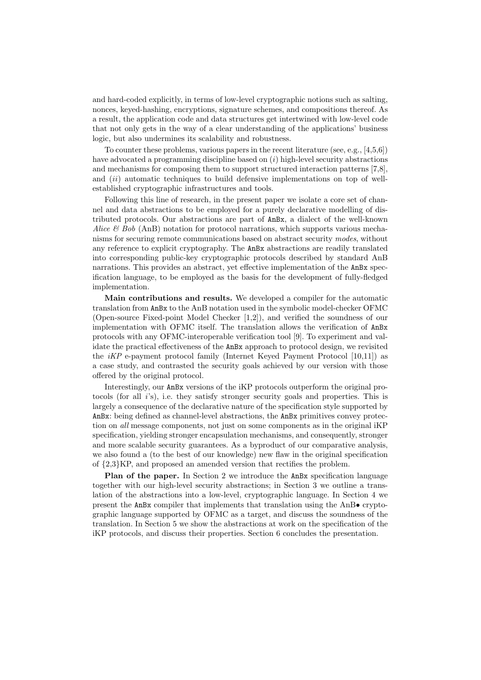and hard-coded explicitly, in terms of low-level cryptographic notions such as salting, nonces, keyed-hashing, encryptions, signature schemes, and compositions thereof. As a result, the application code and data structures get intertwined with low-level code that not only gets in the way of a clear understanding of the applications' business logic, but also undermines its scalability and robustness.

To counter these problems, various papers in the recent literature (see, e.g., [4,5,6]) have advocated a programming discipline based on  $(i)$  high-level security abstractions and mechanisms for composing them to support structured interaction patterns [7,8], and *(ii)* automatic techniques to build defensive implementations on top of wellestablished cryptographic infrastructures and tools.

Following this line of research, in the present paper we isolate a core set of channel and data abstractions to be employed for a purely declarative modelling of distributed protocols. Our abstractions are part of AnBx, a dialect of the well-known Alice  $\mathcal B$  Bob (AnB) notation for protocol narrations, which supports various mechanisms for securing remote communications based on abstract security modes, without any reference to explicit cryptography. The AnBx abstractions are readily translated into corresponding public-key cryptographic protocols described by standard AnB narrations. This provides an abstract, yet effective implementation of the AnBx specification language, to be employed as the basis for the development of fully-fledged implementation.

Main contributions and results. We developed a compiler for the automatic translation from AnBx to the AnB notation used in the symbolic model-checker OFMC (Open-source Fixed-point Model Checker [1,2]), and verified the soundness of our implementation with OFMC itself. The translation allows the verification of AnBx protocols with any OFMC-interoperable verification tool [9]. To experiment and validate the practical effectiveness of the AnBx approach to protocol design, we revisited the  $iKP$  e-payment protocol family (Internet Keyed Payment Protocol [10,11]) as a case study, and contrasted the security goals achieved by our version with those offered by the original protocol.

Interestingly, our AnBx versions of the iKP protocols outperform the original protocols (for all i's), i.e. they satisfy stronger security goals and properties. This is largely a consequence of the declarative nature of the specification style supported by AnBx: being defined as channel-level abstractions, the AnBx primitives convey protection on all message components, not just on some components as in the original iKP specification, yielding stronger encapsulation mechanisms, and consequently, stronger and more scalable security guarantees. As a byproduct of our comparative analysis, we also found a (to the best of our knowledge) new flaw in the original specification of {2,3}KP, and proposed an amended version that rectifies the problem.

Plan of the paper. In Section 2 we introduce the AnBx specification language together with our high-level security abstractions; in Section 3 we outline a translation of the abstractions into a low-level, cryptographic language. In Section 4 we present the AnBx compiler that implements that translation using the AnB• cryptographic language supported by OFMC as a target, and discuss the soundness of the translation. In Section 5 we show the abstractions at work on the specification of the iKP protocols, and discuss their properties. Section 6 concludes the presentation.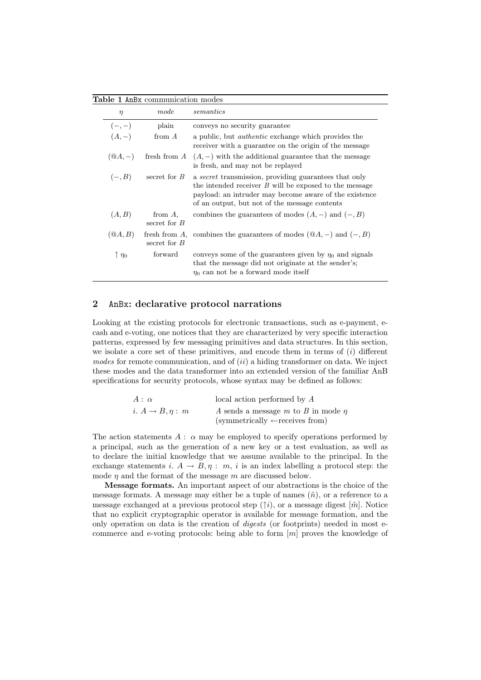Table 1 AnBx communication modes

| $\eta$              | mode                            | semantics                                                                                                                                                                                                                           |
|---------------------|---------------------------------|-------------------------------------------------------------------------------------------------------------------------------------------------------------------------------------------------------------------------------------|
| $(-,-)$             | plain                           | conveys no security guarantee                                                                                                                                                                                                       |
| $(A, -)$            | from $A$                        | a public, but <i>authentic</i> exchange which provides the<br>receiver with a guarantee on the origin of the message                                                                                                                |
| $(\mathcal{Q}A,-)$  | fresh from A                    | $(A, -)$ with the additional guarantee that the message<br>is fresh, and may not be replayed                                                                                                                                        |
| $(-, B)$            | secret for $B$                  | a <i>secret</i> transmission, providing guarantees that only<br>the intended receiver $B$ will be exposed to the message<br>payload: an intruder may become aware of the existence<br>of an output, but not of the message contents |
| (A, B)              | from $A$ ,<br>secret for $B$    | combines the guarantees of modes $(A, -)$ and $(-, B)$                                                                                                                                                                              |
| $(\mathcal{Q}A,B)$  | fresh from A.<br>secret for $B$ | combines the guarantees of modes $(\mathcal{Q}A, -)$ and $(-, B)$                                                                                                                                                                   |
| $\uparrow$ $\eta_0$ | forward                         | conveys some of the guarantees given by $\eta_0$ and signals<br>that the message did not originate at the sender's;<br>$\eta_0$ can not be a forward mode itself                                                                    |

## 2 AnBx: declarative protocol narrations

Looking at the existing protocols for electronic transactions, such as e-payment, ecash and e-voting, one notices that they are characterized by very specific interaction patterns, expressed by few messaging primitives and data structures. In this section, we isolate a core set of these primitives, and encode them in terms of (i) different modes for remote communication, and of  $(ii)$  a hiding transformer on data. We inject these modes and the data transformer into an extended version of the familiar AnB specifications for security protocols, whose syntax may be defined as follows:

| $A: \alpha$                    | local action performed by $A$              |
|--------------------------------|--------------------------------------------|
| $i. A \rightarrow B, \eta : m$ | A sends a message m to B in mode $\eta$    |
|                                | $(symmetrically \leftarrow$ receives from) |

The action statements  $A : \alpha$  may be employed to specify operations performed by a principal, such as the generation of a new key or a test evaluation, as well as to declare the initial knowledge that we assume available to the principal. In the exchange statements i.  $A \rightarrow B, \eta : m, i$  is an index labelling a protocol step: the mode  $\eta$  and the format of the message  $m$  are discussed below.

Message formats. An important aspect of our abstractions is the choice of the message formats. A message may either be a tuple of names  $(\tilde{n})$ , or a reference to a message exchanged at a previous protocol step ( $\uparrow i$ ), or a message digest  $[\tilde{m}]$ . Notice that no explicit cryptographic operator is available for message formation, and the only operation on data is the creation of digests (or footprints) needed in most ecommerce and e-voting protocols: being able to form [m] proves the knowledge of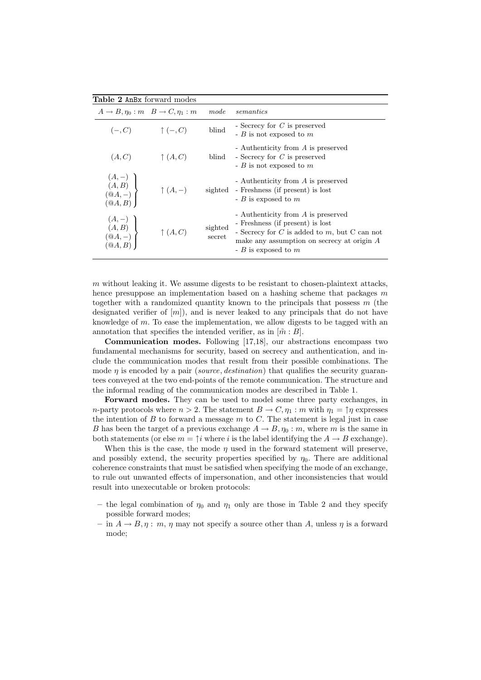Table 2 AnBx forward modes

|                                                                                         | $A \rightarrow B, \eta_0 : m \quad B \rightarrow C, \eta_1 : m$ | mode              | semantics                                                                                                                                                                                              |
|-----------------------------------------------------------------------------------------|-----------------------------------------------------------------|-------------------|--------------------------------------------------------------------------------------------------------------------------------------------------------------------------------------------------------|
| $(-, C)$                                                                                | $\uparrow$ $(-, C)$                                             | blind             | - Secrecy for $C$ is preserved<br>$- B$ is not exposed to m                                                                                                                                            |
| (A, C)                                                                                  | $\uparrow$ $(A, C)$                                             | blind             | - Authenticity from A is preserved<br>- Secrecy for $C$ is preserved<br>$- B$ is not exposed to m                                                                                                      |
| $(A, -)$<br>$(A, B)$<br>$(\mathfrak{A}, -)$<br>$(\mathfrak{A}, -)$<br>$(\mathbf{Q}A,B)$ | $\uparrow$ $(A, -)$                                             |                   | - Authenticity from $A$ is preserved<br>sighted - Freshness (if present) is lost<br>$- B$ is exposed to m                                                                                              |
| $(A, -)$<br>$(A, B)$<br>$(\mathfrak{Q}A, -)$                                            | $\uparrow$ $(A, C)$                                             | sighted<br>secret | - Authenticity from A is preserved<br>- Freshness (if present) is lost<br>- Secrecy for $C$ is added to $m$ , but $C$ can not<br>make any assumption on secrecy at origin $A$<br>$- B$ is exposed to m |

 $m$  without leaking it. We assume digests to be resistant to chosen-plaintext attacks. hence presuppose an implementation based on a hashing scheme that packages m together with a randomized quantity known to the principals that possess  $m$  (the designated verifier of  $[m]$ ), and is never leaked to any principals that do not have knowledge of  $m$ . To ease the implementation, we allow digests to be tagged with an annotation that specifies the intended verifier, as in  $[\tilde{m} : B]$ .

Communication modes. Following [17,18], our abstractions encompass two fundamental mechanisms for security, based on secrecy and authentication, and include the communication modes that result from their possible combinations. The mode  $\eta$  is encoded by a pair (source, destination) that qualifies the security guarantees conveyed at the two end-points of the remote communication. The structure and the informal reading of the communication modes are described in Table 1.

Forward modes. They can be used to model some three party exchanges, in *n*-party protocols where  $n > 2$ . The statement  $B \to C, \eta_1 : m$  with  $\eta_1 = \uparrow \eta$  expresses the intention of  $B$  to forward a message  $m$  to  $C$ . The statement is legal just in case B has been the target of a previous exchange  $A \to B, \eta_0 : m$ , where m is the same in both statements (or else  $m = \uparrow i$  where i is the label identifying the  $A \rightarrow B$  exchange).

When this is the case, the mode  $\eta$  used in the forward statement will preserve, and possibly extend, the security properties specified by  $\eta_0$ . There are additional coherence constraints that must be satisfied when specifying the mode of an exchange, to rule out unwanted effects of impersonation, and other inconsistencies that would result into unexecutable or broken protocols:

- the legal combination of  $\eta_0$  and  $\eta_1$  only are those in Table 2 and they specify possible forward modes;
- in  $A \to B$ ,  $\eta : m$ ,  $\eta$  may not specify a source other than A, unless  $\eta$  is a forward mode;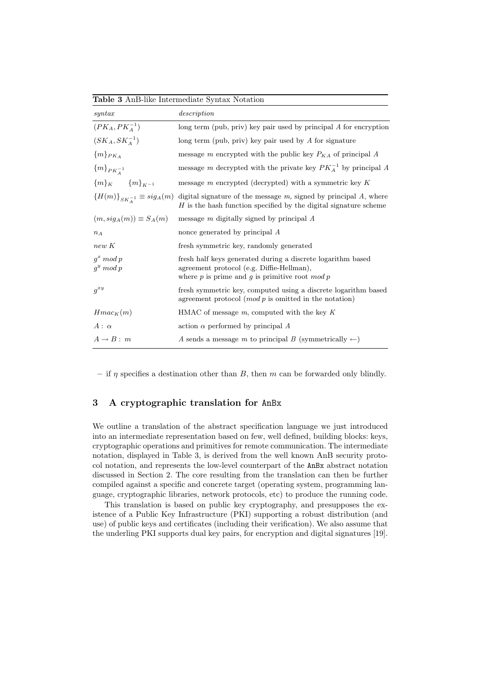Table 3 AnB-like Intermediate Syntax Notation

| syntax                        | description                                                                                                                                                                     |
|-------------------------------|---------------------------------------------------------------------------------------------------------------------------------------------------------------------------------|
| $(PK_A, PK_A^{-1})$           | long term (pub, priv) key pair used by principal $A$ for encryption                                                                                                             |
| $(SK_A, SK_A^{-1})$           | long term (pub, priv) key pair used by $A$ for signature                                                                                                                        |
| $\{m\}_{PK_A}$                | message m encrypted with the public key $P_{KA}$ of principal A                                                                                                                 |
| ${m \brace P K_A^{-1}}$       | message m decrypted with the private key $PK_A^{-1}$ by principal A                                                                                                             |
| ${m}_{K}$ ${m}_{K^{-1}}$      | message m encrypted (decrypted) with a symmetric key $K$                                                                                                                        |
|                               | ${H(m)}_{SK_{A}^{-1}} \equiv sig_{A}(m)$ digital signature of the message m, signed by principal A, where<br>$H$ is the hash function specified by the digital signature scheme |
| $(m, sig_A(m)) \equiv S_A(m)$ | message $m$ digitally signed by principal $A$                                                                                                                                   |
| $n_A$                         | nonce generated by principal A                                                                                                                                                  |
| new K                         | fresh symmetric key, randomly generated                                                                                                                                         |
| $q^x \mod p$<br>$g^y \mod p$  | fresh half keys generated during a discrete logarithm based<br>agreement protocol (e.g. Diffie-Hellman),<br>where $p$ is prime and $q$ is primitive root $mod p$                |
| $q^{xy}$                      | fresh symmetric key, computed using a discrete logarithm based<br>agreement protocol ( $mod\ p$ is omitted in the notation)                                                     |
| $Hmac_K(m)$                   | HMAC of message $m$ , computed with the key $K$                                                                                                                                 |
| $A: \alpha$                   | action $\alpha$ performed by principal $A$                                                                                                                                      |
| $A \rightarrow B : m$         | A sends a message m to principal B (symmetrically $\leftarrow$ )                                                                                                                |

– if  $\eta$  specifies a destination other than B, then m can be forwarded only blindly.

## 3 A cryptographic translation for AnBx

We outline a translation of the abstract specification language we just introduced into an intermediate representation based on few, well defined, building blocks: keys, cryptographic operations and primitives for remote communication. The intermediate notation, displayed in Table 3, is derived from the well known AnB security protocol notation, and represents the low-level counterpart of the AnBx abstract notation discussed in Section 2. The core resulting from the translation can then be further compiled against a specific and concrete target (operating system, programming language, cryptographic libraries, network protocols, etc) to produce the running code.

This translation is based on public key cryptography, and presupposes the existence of a Public Key Infrastructure (PKI) supporting a robust distribution (and use) of public keys and certificates (including their verification). We also assume that the underling PKI supports dual key pairs, for encryption and digital signatures [19].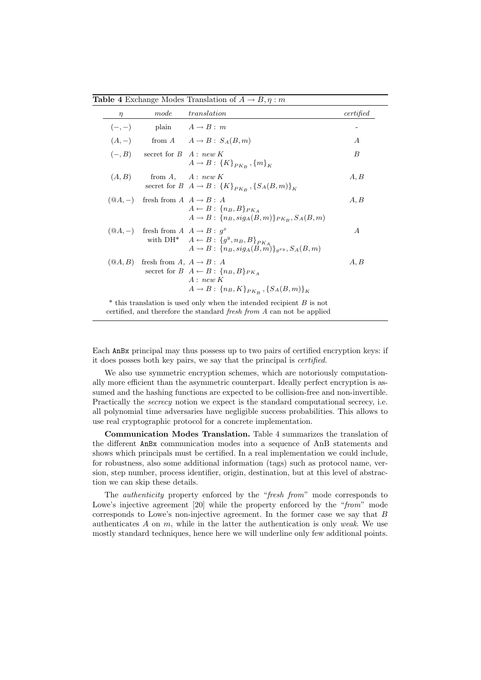**Table 4** Exchange Modes Translation of  $A \rightarrow B, \eta : m$ 

| $\eta$              | mode                                        | translation                                                                                                                                       | certified |
|---------------------|---------------------------------------------|---------------------------------------------------------------------------------------------------------------------------------------------------|-----------|
| $(-,-)$             | plain                                       | $A \rightarrow B : m$                                                                                                                             |           |
| $(A, -)$            |                                             | from $A \longrightarrow B : S_A(B,m)$                                                                                                             | А         |
| $(-, B)$            | secret for $B \cdot A : new K$              | $A \to B: \{K\}_{PK_B}, \{m\}_K$                                                                                                                  | B         |
| (A, B)              |                                             | from $A$ , $A: new K$<br>secret for $B \nrightarrow A \rightarrow B: \{K\}_{P K_P}, \{S_A(B,m)\}_K$                                               | A, B      |
| $(\mathcal{Q}A,-)$  | fresh from $A \rightharpoonup B : A$        | $A \leftarrow B : \{n_B, B\}_{PK_A}$<br>$A \rightarrow B$ : ${n_B, si q_A(B,m)}_{PK_B}, S_A(B,m)$                                                 | A, B      |
|                     | $(QA,-)$ fresh from $A \rightarrow B : g^x$ | with DH* $A \leftarrow B : \{g^y, n_B, B\}_{PK_A}$<br>$A \rightarrow B$ : ${n_B, sig_A(B,m)}_{\sigma^{xy}, S_A(B,m)}$                             | А         |
| $(\mathcal{Q}A, B)$ | fresh from A, $A \rightarrow B : A$         | secret for $B \ A \leftarrow B : \{n_B, B\}_{PKA}$<br>A: new K<br>$A \to B: \{n_B, K\}_{P K_B}, \{S_A(B,m)\}_K$                                   | A, B      |
|                     |                                             | $*$ this translation is used only when the intended recipient $B$ is not<br>certified, and therefore the standard fresh from A can not be applied |           |

Each AnBx principal may thus possess up to two pairs of certified encryption keys: if it does posses both key pairs, we say that the principal is certified.

We also use symmetric encryption schemes, which are notoriously computationally more efficient than the asymmetric counterpart. Ideally perfect encryption is assumed and the hashing functions are expected to be collision-free and non-invertible. Practically the secrecy notion we expect is the standard computational secrecy, i.e. all polynomial time adversaries have negligible success probabilities. This allows to use real cryptographic protocol for a concrete implementation.

Communication Modes Translation. Table 4 summarizes the translation of the different AnBx communication modes into a sequence of AnB statements and shows which principals must be certified. In a real implementation we could include, for robustness, also some additional information (tags) such as protocol name, version, step number, process identifier, origin, destination, but at this level of abstraction we can skip these details.

The authenticity property enforced by the "fresh from" mode corresponds to Lowe's injective agreement [20] while the property enforced by the "from" mode corresponds to Lowe's non-injective agreement. In the former case we say that B authenticates  $A$  on  $m$ , while in the latter the authentication is only *weak*. We use mostly standard techniques, hence here we will underline only few additional points.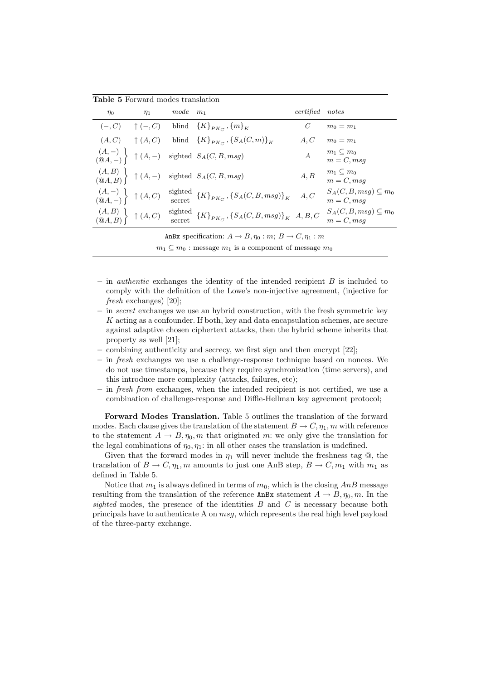Table 5 Forward modes translation

| $\eta_0$                                                              | $\eta_1$ | $mode$ $m_1$ |                                                                                                                                                              | certified notes |                                                |  |
|-----------------------------------------------------------------------|----------|--------------|--------------------------------------------------------------------------------------------------------------------------------------------------------------|-----------------|------------------------------------------------|--|
|                                                                       |          |              | $(-, C) \quad \uparrow (-, C) \quad \text{blind} \quad \{K\}_{PK_C}, \{m\}_K$                                                                                | $\mathcal{C}$   | $m_0 = m_1$                                    |  |
|                                                                       |          |              | $(A, C)$ $\uparrow (A, C)$ blind $\{K\}_{PKC}$ , $\{S_A(C, m)\}_K$                                                                                           |                 | $A, C \t m_0 = m_1$                            |  |
|                                                                       |          |              | $\{ (A, -) \atop (QQ, -) \}$ $\uparrow (A, -)$ sighted $S_A(C, B, msg)$                                                                                      |                 | $A$ $m_1 \subseteq m_0$<br>$m = C, msg$        |  |
|                                                                       |          |              | $\{(A,B)\}\n\left\{\n\begin{array}{l}\n\uparrow(A,-)\n\end{array}\n\text{ sighted } S_A(C,B,msg)\n\right\}$                                                  | A, B            | $m_1 \subset m_0$<br>$m = C, msq$              |  |
|                                                                       |          |              | $\{(A,-)\}\n\left\{\n\begin{array}{ll}\n\uparrow(A,C) & \text{signed} \\ \text{secret} & \{K\}_{PK_C}, \{S_A(C,B,msg)\}_K\n\end{array}\n\right.\n\quad A, C$ |                 | $S_A(C, B, msg) \subseteq m_0$<br>$m = C, msq$ |  |
|                                                                       |          |              | $\{(A,B)\}\n\left\{\n\begin{array}{l}\n\uparrow(A,C)\n\end{array}\n\right.$ sighted $\{K\}_{PK_C}, \{S_A(C,B, msg)\}_K$ A, B, C                              |                 | $S_A(C, B, msg) \subseteq m_0$<br>$m = C, msq$ |  |
| An Bx specification: $A \to B, \eta_0 : m \colon B \to C, \eta_1 : m$ |          |              |                                                                                                                                                              |                 |                                                |  |

 $m_1 \subseteq m_0$ : message  $m_1$  is a component of message  $m_0$ 

- in *authentic* exchanges the identity of the intended recipient  $B$  is included to comply with the definition of the Lowe's non-injective agreement, (injective for fresh exchanges) [20];
- in secret exchanges we use an hybrid construction, with the fresh symmetric key K acting as a confounder. If both, key and data encapsulation schemes, are secure against adaptive chosen ciphertext attacks, then the hybrid scheme inherits that property as well [21];
- combining authenticity and secrecy, we first sign and then encrypt [22];
- in fresh exchanges we use a challenge-response technique based on nonces. We do not use timestamps, because they require synchronization (time servers), and this introduce more complexity (attacks, failures, etc);
- in fresh from exchanges, when the intended recipient is not certified, we use a combination of challenge-response and Diffie-Hellman key agreement protocol;

Forward Modes Translation. Table 5 outlines the translation of the forward modes. Each clause gives the translation of the statement  $B \to C, \eta_1, m$  with reference to the statement  $A \to B, \eta_0, m$  that originated m: we only give the translation for the legal combinations of  $\eta_0, \eta_1$ : in all other cases the translation is undefined.

Given that the forward modes in  $\eta_1$  will never include the freshness tag  $\omega$ , the translation of  $B \to C, \eta_1, m$  amounts to just one AnB step,  $B \to C, m_1$  with  $m_1$  as defined in Table 5.

Notice that  $m_1$  is always defined in terms of  $m_0$ , which is the closing  $AnB$  message resulting from the translation of the reference AnBx statement  $A \to B, \eta_0, m$ . In the sighted modes, the presence of the identities  $B$  and  $C$  is necessary because both principals have to authenticate A on msg, which represents the real high level payload of the three-party exchange.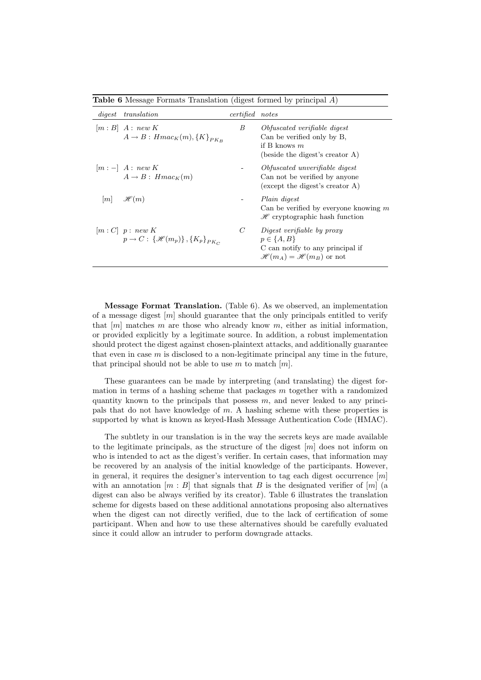Table 6 Message Formats Translation (digest formed by principal A)

| $\mathit{digest}$ | translation                                                                     | certified     | notes                                                                                                                              |
|-------------------|---------------------------------------------------------------------------------|---------------|------------------------------------------------------------------------------------------------------------------------------------|
|                   | $\left[m : B\right] A: new K$<br>$A \rightarrow B : Hmac_K(m), \{K\}_{PK_B}$    | B             | <i>Obfuscated verifiable digest</i><br>Can be verified only by B,<br>if B knows $m$<br>(beside the digest's creator A)             |
|                   | $\left[m:-\right] A: new K$<br>$A \rightarrow B$ : $Hmac_K(m)$                  |               | Obfuscated unverifiable digest<br>Can not be verified by anyone<br>(except the digest's creator A)                                 |
| m                 | $\mathscr{H}(m)$                                                                |               | Plain digest<br>Can be verified by everyone knowing $m$<br>$\mathscr H$ cryptographic hash function                                |
|                   | $[m:C]$ p : new K<br>$p \rightarrow C: \{\mathcal{H}(m_p)\}, \{K_p\}_{p_{K_p}}$ | $\mathcal{C}$ | Digest verifiable by proxy<br>$p \in \{A, B\}$<br>C can notify to any principal if<br>$\mathscr{H}(m_A) = \mathscr{H}(m_B)$ or not |

Message Format Translation. (Table 6). As we observed, an implementation of a message digest  $[m]$  should guarantee that the only principals entitled to verify that  $[m]$  matches m are those who already know m, either as initial information, or provided explicitly by a legitimate source. In addition, a robust implementation should protect the digest against chosen-plaintext attacks, and additionally guarantee that even in case  $m$  is disclosed to a non-legitimate principal any time in the future, that principal should not be able to use m to match  $[m]$ .

These guarantees can be made by interpreting (and translating) the digest formation in terms of a hashing scheme that packages m together with a randomized quantity known to the principals that possess  $m$ , and never leaked to any principals that do not have knowledge of m. A hashing scheme with these properties is supported by what is known as keyed-Hash Message Authentication Code (HMAC).

The subtlety in our translation is in the way the secrets keys are made available to the legitimate principals, as the structure of the digest  $[m]$  does not inform on who is intended to act as the digest's verifier. In certain cases, that information may be recovered by an analysis of the initial knowledge of the participants. However, in general, it requires the designer's intervention to tag each digest occurrence  $[m]$ with an annotation  $[m : B]$  that signals that B is the designated verifier of  $[m]$  (a digest can also be always verified by its creator). Table 6 illustrates the translation scheme for digests based on these additional annotations proposing also alternatives when the digest can not directly verified, due to the lack of certification of some participant. When and how to use these alternatives should be carefully evaluated since it could allow an intruder to perform downgrade attacks.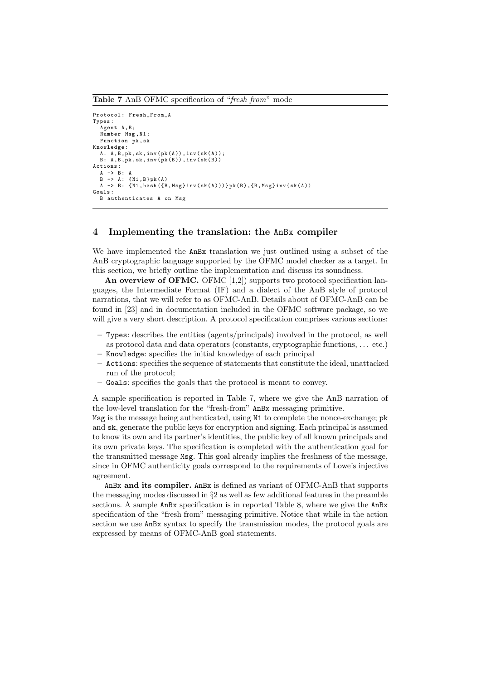Table 7 AnB OFMC specification of "fresh from" mode

```
Protocol : Fresh_From_A
Types :
  Agent A.B:
  Number Msg , N1 ;
  Function pk , sk
Knowledge :
  A: A, B, pk, sk, inv(pk(A)), inv(sk(A));B: A, B, pk, sk, inv(pk(B)), inv(sk(B))Actions :
  A -> B: A
  B -> A: {N1 , B} pk ( A)
  A -> B: {N1 , hash ({B , Msg } inv ( sk ( A )))} pk (B ) ,{B , Msg } inv ( sk (A ))
Goals :
  B authenticates A on Msg
```
#### 4 Implementing the translation: the AnBx compiler

We have implemented the **AnBx** translation we just outlined using a subset of the AnB cryptographic language supported by the OFMC model checker as a target. In this section, we briefly outline the implementation and discuss its soundness.

An overview of OFMC. OFMC [1,2]) supports two protocol specification languages, the Intermediate Format (IF) and a dialect of the AnB style of protocol narrations, that we will refer to as OFMC-AnB. Details about of OFMC-AnB can be found in [23] and in documentation included in the OFMC software package, so we will give a very short description. A protocol specification comprises various sections:

- Types: describes the entities (agents/principals) involved in the protocol, as well as protocol data and data operators (constants, cryptographic functions, . . . etc.)
- Knowledge: specifies the initial knowledge of each principal
- Actions: specifies the sequence of statements that constitute the ideal, unattacked run of the protocol;
- Goals: specifies the goals that the protocol is meant to convey.

A sample specification is reported in Table 7, where we give the AnB narration of the low-level translation for the "fresh-from" AnBx messaging primitive.

Msg is the message being authenticated, using N1 to complete the nonce-exchange; pk and sk, generate the public keys for encryption and signing. Each principal is assumed to know its own and its partner's identities, the public key of all known principals and its own private keys. The specification is completed with the authentication goal for the transmitted message Msg. This goal already implies the freshness of the message, since in OFMC authenticity goals correspond to the requirements of Lowe's injective agreement.

AnBx and its compiler. AnBx is defined as variant of OFMC-AnB that supports the messaging modes discussed in  $\S2$  as well as few additional features in the preamble sections. A sample AnBx specification is in reported Table 8, where we give the AnBx specification of the "fresh from" messaging primitive. Notice that while in the action section we use AnBx syntax to specify the transmission modes, the protocol goals are expressed by means of OFMC-AnB goal statements.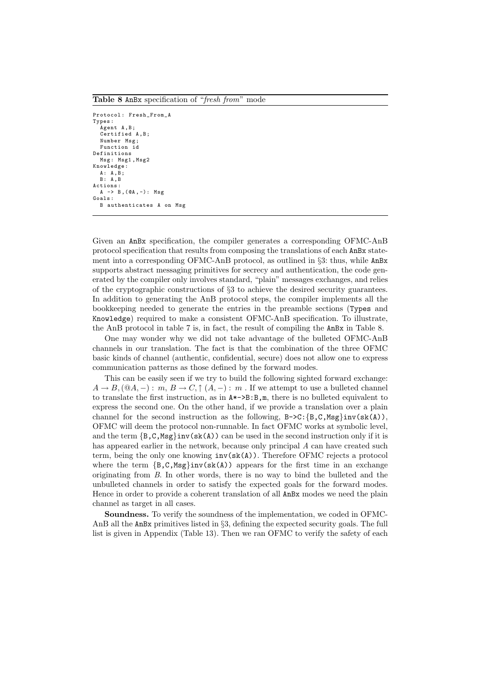Table 8 AnBx specification of "fresh from" mode

```
Protocol : Fresh_From_A
Types :
  Agent A , B;
  Certified A.B:
  Number Msg ;
  Function id
Definitions
  Msg : Msg1 , Msg2
Knowledge :
  A: A ,B ;
  B: A ,B
Actions :
  A \rightarrow B, (QA, -): Msg
Goals :
  B authenticates A on Msg
```
Given an AnBx specification, the compiler generates a corresponding OFMC-AnB protocol specification that results from composing the translations of each AnBx statement into a corresponding OFMC-AnB protocol, as outlined in §3: thus, while AnBx supports abstract messaging primitives for secrecy and authentication, the code generated by the compiler only involves standard, "plain" messages exchanges, and relies of the cryptographic constructions of §3 to achieve the desired security guarantees. In addition to generating the AnB protocol steps, the compiler implements all the bookkeeping needed to generate the entries in the preamble sections (Types and Knowledge) required to make a consistent OFMC-AnB specification. To illustrate, the AnB protocol in table 7 is, in fact, the result of compiling the AnBx in Table 8.

One may wonder why we did not take advantage of the bulleted OFMC-AnB channels in our translation. The fact is that the combination of the three OFMC basic kinds of channel (authentic, confidential, secure) does not allow one to express communication patterns as those defined by the forward modes.

This can be easily seen if we try to build the following sighted forward exchange:  $A \to B$ ,  $(\mathbb{Q}A, -) : m, B \to C$ ,  $\uparrow (A, -) : m$ . If we attempt to use a bulleted channel to translate the first instruction, as in  $A*->B:B,m$ , there is no bulleted equivalent to express the second one. On the other hand, if we provide a translation over a plain channel for the second instruction as the following,  $B\rightarrow C:\{B,C,Msg\}$ inv(sk(A)), OFMC will deem the protocol non-runnable. In fact OFMC works at symbolic level, and the term  $\{B,C,Msg\}$ inv(sk(A)) can be used in the second instruction only if it is has appeared earlier in the network, because only principal A can have created such term, being the only one knowing  $inv(s(k(A))$ . Therefore OFMC rejects a protocol where the term  $\{B,C,Msg\}$ inv(sk(A)) appears for the first time in an exchange originating from B. In other words, there is no way to bind the bulleted and the unbulleted channels in order to satisfy the expected goals for the forward modes. Hence in order to provide a coherent translation of all **AnBx** modes we need the plain channel as target in all cases.

Soundness. To verify the soundness of the implementation, we coded in OFMC-AnB all the AnBx primitives listed in §3, defining the expected security goals. The full list is given in Appendix (Table 13). Then we ran OFMC to verify the safety of each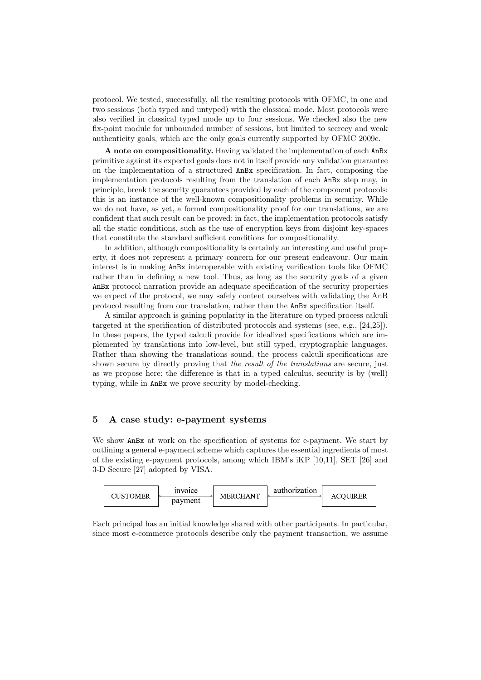protocol. We tested, successfully, all the resulting protocols with OFMC, in one and two sessions (both typed and untyped) with the classical mode. Most protocols were also verified in classical typed mode up to four sessions. We checked also the new fix-point module for unbounded number of sessions, but limited to secrecy and weak authenticity goals, which are the only goals currently supported by OFMC 2009c.

A note on compositionality. Having validated the implementation of each AnBx primitive against its expected goals does not in itself provide any validation guarantee on the implementation of a structured AnBx specification. In fact, composing the implementation protocols resulting from the translation of each AnBx step may, in principle, break the security guarantees provided by each of the component protocols: this is an instance of the well-known compositionality problems in security. While we do not have, as yet, a formal compositionality proof for our translations, we are confident that such result can be proved: in fact, the implementation protocols satisfy all the static conditions, such as the use of encryption keys from disjoint key-spaces that constitute the standard sufficient conditions for compositionality.

In addition, although compositionality is certainly an interesting and useful property, it does not represent a primary concern for our present endeavour. Our main interest is in making AnBx interoperable with existing verification tools like OFMC rather than in defining a new tool. Thus, as long as the security goals of a given AnBx protocol narration provide an adequate specification of the security properties we expect of the protocol, we may safely content ourselves with validating the AnB protocol resulting from our translation, rather than the AnBx specification itself.

A similar approach is gaining popularity in the literature on typed process calculi targeted at the specification of distributed protocols and systems (see, e.g., [24,25]). In these papers, the typed calculi provide for idealized specifications which are implemented by translations into low-level, but still typed, cryptographic languages. Rather than showing the translations sound, the process calculi specifications are shown secure by directly proving that the result of the translations are secure, just as we propose here: the difference is that in a typed calculus, security is by (well) typing, while in AnBx we prove security by model-checking.

#### 5 A case study: e-payment systems

We show AnBx at work on the specification of systems for e-payment. We start by outlining a general e-payment scheme which captures the essential ingredients of most of the existing e-payment protocols, among which IBM's iKP [10,11], SET [26] and 3-D Secure [27] adopted by VISA.

| CUSTOMER | invoice | MERCHANT | authorization | <b>ACOUIRER</b> |
|----------|---------|----------|---------------|-----------------|
|          | payment |          |               |                 |

Each principal has an initial knowledge shared with other participants. In particular, since most e-commerce protocols describe only the payment transaction, we assume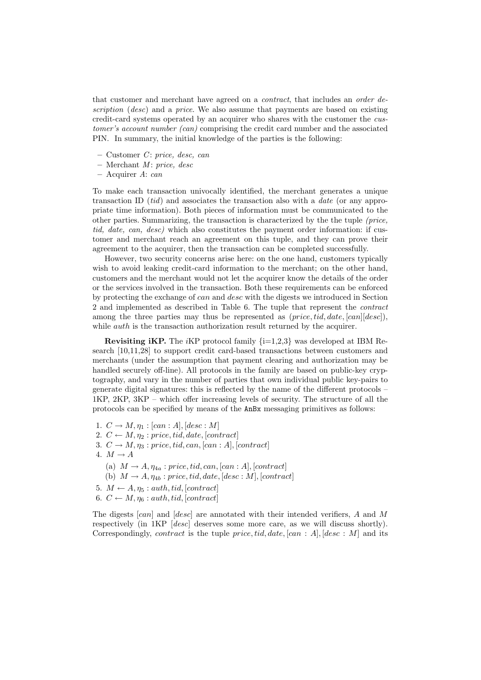that customer and merchant have agreed on a *contract*, that includes an *order de*scription (desc) and a price. We also assume that payments are based on existing credit-card systems operated by an acquirer who shares with the customer the customer's account number (can) comprising the credit card number and the associated PIN. In summary, the initial knowledge of the parties is the following:

- $-$  Customer C: price, desc, can
- $-$  Merchant *M*: price, desc
- Acquirer A: can

To make each transaction univocally identified, the merchant generates a unique transaction ID  $(id)$  and associates the transaction also with a *date* (or any appropriate time information). Both pieces of information must be communicated to the other parties. Summarizing, the transaction is characterized by the the tuple (price, tid, date, can, desc) which also constitutes the payment order information: if customer and merchant reach an agreement on this tuple, and they can prove their agreement to the acquirer, then the transaction can be completed successfully.

However, two security concerns arise here: on the one hand, customers typically wish to avoid leaking credit-card information to the merchant; on the other hand, customers and the merchant would not let the acquirer know the details of the order or the services involved in the transaction. Both these requirements can be enforced by protecting the exchange of can and desc with the digests we introduced in Section 2 and implemented as described in Table 6. The tuple that represent the contract among the three parties may thus be represented as  $(price, tid, date, [can][desc])$ , while *auth* is the transaction authorization result returned by the acquirer.

**Revisiting iKP.** The *iKP* protocol family  $\{i=1,2,3\}$  was developed at IBM Research [10,11,28] to support credit card-based transactions between customers and merchants (under the assumption that payment clearing and authorization may be handled securely off-line). All protocols in the family are based on public-key cryptography, and vary in the number of parties that own individual public key-pairs to generate digital signatures: this is reflected by the name of the different protocols – 1KP, 2KP, 3KP – which offer increasing levels of security. The structure of all the protocols can be specified by means of the AnBx messaging primitives as follows:

- 1.  $C \rightarrow M, \eta_1 : [can : A], [desc : M]$
- 2.  $C \leftarrow M, \eta_2 : price, tid, date, [contract]$
- 3.  $C \rightarrow M, \eta_3 : price, tid, can, [can : A], [contract]$
- 4.  $M \rightarrow A$ 
	- (a)  $M \rightarrow A$ ,  $\eta_{4a}$ : price, tid, can, [can : A], [contract]
	- (b)  $M \rightarrow A$ ,  $\eta_{4b}$ : price, tid, date, [desc: M], [contract]
- 5.  $M \leftarrow A, \eta_5: \text{auth}, \text{tid}, [\text{contract}]$
- 6.  $C \leftarrow M, \eta_6: \text{auth}, \text{tid}, [\text{contract}]$

The digests [can] and [desc] are annotated with their intended verifiers, A and M respectively (in 1KP [desc] deserves some more care, as we will discuss shortly). Correspondingly, *contract* is the tuple *price, tid, date,*  $[can : A]$ *,*  $[desc : M]$  and its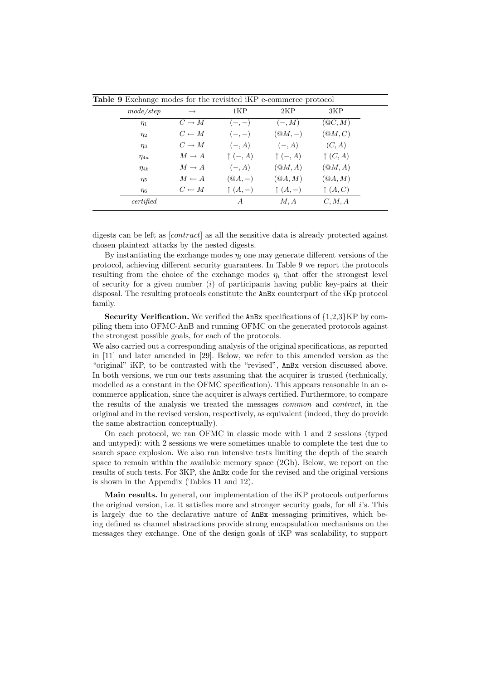| <b>Table 9</b> Exchange modes for the revisited iKP e-commerce protocol |                   |                     |                     |                     |
|-------------------------------------------------------------------------|-------------------|---------------------|---------------------|---------------------|
| mode/step                                                               | $\longrightarrow$ | 1KP                 | 2KP                 | 3KP                 |
| $\eta_1$                                                                | $C \to M$         | $(-,-)$             | $(-, M)$            | $(\mathbb{Q} C, M)$ |
| $\eta_2$                                                                | $C \leftarrow M$  | $(-,-)$             | $(\mathcal{Q}M, -)$ | $(\mathcal{Q}M, C)$ |
| $\eta_3$                                                                | $C \to M$         | $(-, A)$            | $(-, A)$            | (C, A)              |
| $\eta_{4a}$                                                             | $M \to A$         | $\uparrow$ $(-, A)$ | $\uparrow$ $(-, A)$ | $\uparrow$ $(C, A)$ |
| $\eta_{4b}$                                                             | $M \to A$         | $(-, A)$            | $(\mathcal{Q}M, A)$ | $(\mathbb{Q}M, A)$  |
| $\eta_5$                                                                | $M \leftarrow A$  | $(\mathcal{Q}A,-)$  | $(\mathbb{Q}A,M)$   | $(\mathcal{Q}A, M)$ |
| $\eta_6$                                                                | $C \leftarrow M$  | $\uparrow$ $(A, -)$ | $\uparrow$ $(A, -)$ | $\uparrow$ $(A, C)$ |
| certified                                                               |                   | А                   | M, A                | C, M, A             |
|                                                                         |                   |                     |                     |                     |

Table 9 Exchange modes for the revisited iKP e-commerce protocol

digests can be left as  $[contract]$  as all the sensitive data is already protected against chosen plaintext attacks by the nested digests.

By instantiating the exchange modes  $\eta_i$  one may generate different versions of the protocol, achieving different security guarantees. In Table 9 we report the protocols resulting from the choice of the exchange modes  $\eta_i$  that offer the strongest level of security for a given number  $(i)$  of participants having public key-pairs at their disposal. The resulting protocols constitute the  $\texttt{AnBx}$  counterpart of the *i*Kp protocol family.

**Security Verification.** We verified the AnBx specifications of  $\{1,2,3\}$ KP by compiling them into OFMC-AnB and running OFMC on the generated protocols against the strongest possible goals, for each of the protocols.

We also carried out a corresponding analysis of the original specifications, as reported in [11] and later amended in [29]. Below, we refer to this amended version as the "original" iKP, to be contrasted with the "revised", AnBx version discussed above. In both versions, we run our tests assuming that the acquirer is trusted (technically, modelled as a constant in the OFMC specification). This appears reasonable in an ecommerce application, since the acquirer is always certified. Furthermore, to compare the results of the analysis we treated the messages common and contract, in the original and in the revised version, respectively, as equivalent (indeed, they do provide the same abstraction conceptually).

On each protocol, we ran OFMC in classic mode with 1 and 2 sessions (typed and untyped): with 2 sessions we were sometimes unable to complete the test due to search space explosion. We also ran intensive tests limiting the depth of the search space to remain within the available memory space (2Gb). Below, we report on the results of such tests. For 3KP, the AnBx code for the revised and the original versions is shown in the Appendix (Tables 11 and 12).

Main results. In general, our implementation of the iKP protocols outperforms the original version, i.e. it satisfies more and stronger security goals, for all i's. This is largely due to the declarative nature of AnBx messaging primitives, which being defined as channel abstractions provide strong encapsulation mechanisms on the messages they exchange. One of the design goals of iKP was scalability, to support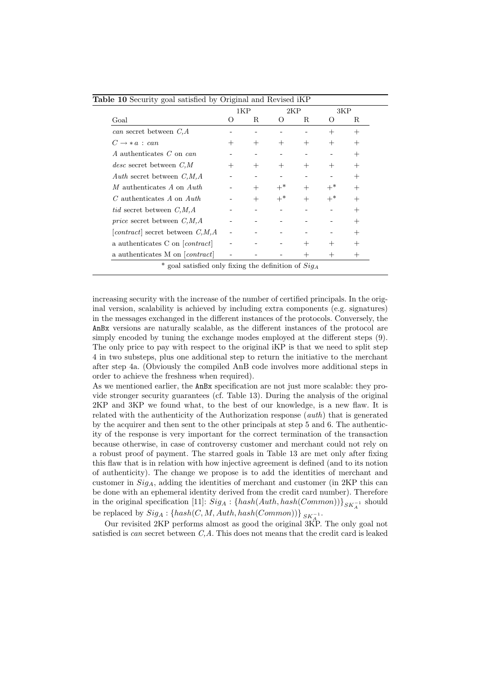|                                              |                  | 1KP                | 2KP      |        | 3KP              |        |
|----------------------------------------------|------------------|--------------------|----------|--------|------------------|--------|
| Goal                                         | $\left( \right)$ | R                  | $\Omega$ | R      | $\left( \right)$ | R      |
| <i>can</i> secret between $C, A$             |                  |                    |          |        | $^{+}$           | $^{+}$ |
| $C \rightarrow *a : can$                     | $^+$             | $^+$               | $^+$     | $\pm$  | $^{+}$           | $^{+}$ |
| A authenticates C on can                     |                  |                    |          |        |                  | $^{+}$ |
| $desc$ secret between $C,M$                  | $\pm$            | $\hspace{0.1mm} +$ | $^{+}$   | $\pm$  | $^{+}$           | $^{+}$ |
| Auth secret between $C, M, A$                |                  |                    |          |        |                  | $^{+}$ |
| M authenticates A on Auth                    |                  | $^{+}$             | $+^*$    | $^{+}$ | $+^*$            | $^{+}$ |
| $C$ authenticates $A$ on $\text{Aut}h$       |                  | $^{+}$             | $+^*$    | $^{+}$ | $+^*$            | $^{+}$ |
| <i>tid</i> secret between C,M,A              |                  |                    |          |        |                  | $^{+}$ |
| price secret between $C, M, A$               |                  |                    |          |        |                  | $^{+}$ |
| [ <i>contract</i> ] secret between $C, M, A$ |                  |                    |          |        |                  | $^{+}$ |
| a authenticates C on [ <i>contract</i> ]     |                  |                    |          | $\pm$  | $^+$             | $^{+}$ |
| a authenticates M on [ <i>contract</i> ]     |                  |                    |          | $^+$   | $^{+}$           | $^{+}$ |

Table 10 Security goal satisfied by Original and Revised iKP

increasing security with the increase of the number of certified principals. In the original version, scalability is achieved by including extra components (e.g. signatures) in the messages exchanged in the different instances of the protocols. Conversely, the AnBx versions are naturally scalable, as the different instances of the protocol are simply encoded by tuning the exchange modes employed at the different steps (9). The only price to pay with respect to the original iKP is that we need to split step 4 in two substeps, plus one additional step to return the initiative to the merchant after step 4a. (Obviously the compiled AnB code involves more additional steps in order to achieve the freshness when required).

As we mentioned earlier, the AnBx specification are not just more scalable: they provide stronger security guarantees (cf. Table 13). During the analysis of the original 2KP and 3KP we found what, to the best of our knowledge, is a new flaw. It is related with the authenticity of the Authorization response (auth) that is generated by the acquirer and then sent to the other principals at step 5 and 6. The authenticity of the response is very important for the correct termination of the transaction because otherwise, in case of controversy customer and merchant could not rely on a robust proof of payment. The starred goals in Table 13 are met only after fixing this flaw that is in relation with how injective agreement is defined (and to its notion of authenticity). The change we propose is to add the identities of merchant and customer in  $Siq_A$ , adding the identities of merchant and customer (in 2KP this can be done with an ephemeral identity derived from the credit card number). Therefore in the original specification [11]:  $Sig_A$ : {hash(Auth, hash(Common))} $_{SK_A^{-1}}$  should be replaced by  $Sig_A$ : { $hash(C, M, Author, hash(Common))$ }  $_{SK_A^{-1}}$ .

Our revisited 2KP performs almost as good the original 3KP. The only goal not satisfied is can secret between  $C$ , $A$ . This does not means that the credit card is leaked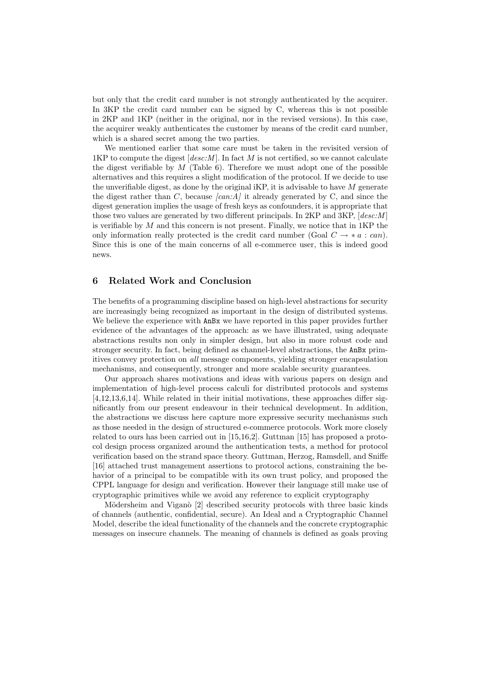but only that the credit card number is not strongly authenticated by the acquirer. In 3KP the credit card number can be signed by C, whereas this is not possible in 2KP and 1KP (neither in the original, nor in the revised versions). In this case, the acquirer weakly authenticates the customer by means of the credit card number, which is a shared secret among the two parties.

We mentioned earlier that some care must be taken in the revisited version of 1KP to compute the digest  $[desc:M]$ . In fact M is not certified, so we cannot calculate the digest verifiable by  $M$  (Table 6). Therefore we must adopt one of the possible alternatives and this requires a slight modification of the protocol. If we decide to use the unverifiable digest, as done by the original  $\text{iKP}$ , it is advisable to have M generate the digest rather than C, because  $\langle can:A \rangle$  it already generated by C, and since the digest generation implies the usage of fresh keys as confounders, it is appropriate that those two values are generated by two different principals. In 2KP and 3KP,  $[desc:M]$ is verifiable by  $M$  and this concern is not present. Finally, we notice that in 1KP the only information really protected is the credit card number (Goal  $C \rightarrow * a : can$ ). Since this is one of the main concerns of all e-commerce user, this is indeed good news.

#### 6 Related Work and Conclusion

The benefits of a programming discipline based on high-level abstractions for security are increasingly being recognized as important in the design of distributed systems. We believe the experience with  $\texttt{AnBx}$  we have reported in this paper provides further evidence of the advantages of the approach: as we have illustrated, using adequate abstractions results non only in simpler design, but also in more robust code and stronger security. In fact, being defined as channel-level abstractions, the AnBx primitives convey protection on all message components, yielding stronger encapsulation mechanisms, and consequently, stronger and more scalable security guarantees.

Our approach shares motivations and ideas with various papers on design and implementation of high-level process calculi for distributed protocols and systems [4,12,13,6,14]. While related in their initial motivations, these approaches differ significantly from our present endeavour in their technical development. In addition, the abstractions we discuss here capture more expressive security mechanisms such as those needed in the design of structured e-commerce protocols. Work more closely related to ours has been carried out in [15,16,2]. Guttman [15] has proposed a protocol design process organized around the authentication tests, a method for protocol verification based on the strand space theory. Guttman, Herzog, Ramsdell, and Sniffe [16] attached trust management assertions to protocol actions, constraining the behavior of a principal to be compatible with its own trust policy, and proposed the CPPL language for design and verification. However their language still make use of cryptographic primitives while we avoid any reference to explicit cryptography

Mödersheim and Viganò [2] described security protocols with three basic kinds of channels (authentic, confidential, secure). An Ideal and a Cryptographic Channel Model, describe the ideal functionality of the channels and the concrete cryptographic messages on insecure channels. The meaning of channels is defined as goals proving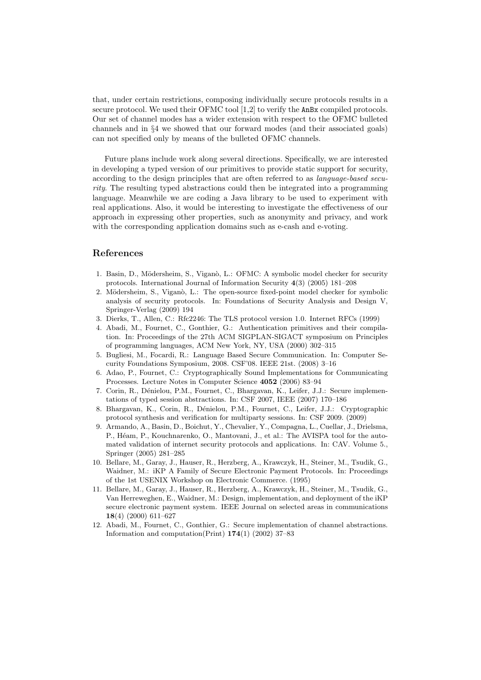that, under certain restrictions, composing individually secure protocols results in a secure protocol. We used their OFMC tool [1,2] to verify the AnBx compiled protocols. Our set of channel modes has a wider extension with respect to the OFMC bulleted channels and in §4 we showed that our forward modes (and their associated goals) can not specified only by means of the bulleted OFMC channels.

Future plans include work along several directions. Specifically, we are interested in developing a typed version of our primitives to provide static support for security, according to the design principles that are often referred to as language-based security. The resulting typed abstractions could then be integrated into a programming language. Meanwhile we are coding a Java library to be used to experiment with real applications. Also, it would be interesting to investigate the effectiveness of our approach in expressing other properties, such as anonymity and privacy, and work with the corresponding application domains such as e-cash and e-voting.

#### References

- 1. Basin, D., Mödersheim, S., Viganò, L.: OFMC: A symbolic model checker for security protocols. International Journal of Information Security 4(3) (2005) 181–208
- 2. Mödersheim, S., Viganò, L.: The open-source fixed-point model checker for symbolic analysis of security protocols. In: Foundations of Security Analysis and Design V, Springer-Verlag (2009) 194
- 3. Dierks, T., Allen, C.: Rfc2246: The TLS protocol version 1.0. Internet RFCs (1999)
- 4. Abadi, M., Fournet, C., Gonthier, G.: Authentication primitives and their compilation. In: Proceedings of the 27th ACM SIGPLAN-SIGACT symposium on Principles of programming languages, ACM New York, NY, USA (2000) 302–315
- 5. Bugliesi, M., Focardi, R.: Language Based Secure Communication. In: Computer Security Foundations Symposium, 2008. CSF'08. IEEE 21st. (2008) 3–16
- 6. Adao, P., Fournet, C.: Cryptographically Sound Implementations for Communicating Processes. Lecture Notes in Computer Science 4052 (2006) 83–94
- 7. Corin, R., Dénielou, P.M., Fournet, C., Bhargavan, K., Leifer, J.J.: Secure implementations of typed session abstractions. In: CSF 2007, IEEE (2007) 170–186
- 8. Bhargavan, K., Corin, R., Dénielou, P.M., Fournet, C., Leifer, J.J.: Cryptographic protocol synthesis and verification for multiparty sessions. In: CSF 2009. (2009)
- 9. Armando, A., Basin, D., Boichut, Y., Chevalier, Y., Compagna, L., Cuellar, J., Drielsma, P., Héam, P., Kouchnarenko, O., Mantovani, J., et al.: The AVISPA tool for the automated validation of internet security protocols and applications. In: CAV. Volume 5., Springer (2005) 281–285
- 10. Bellare, M., Garay, J., Hauser, R., Herzberg, A., Krawczyk, H., Steiner, M., Tsudik, G., Waidner, M.: iKP A Family of Secure Electronic Payment Protocols. In: Proceedings of the 1st USENIX Workshop on Electronic Commerce. (1995)
- 11. Bellare, M., Garay, J., Hauser, R., Herzberg, A., Krawczyk, H., Steiner, M., Tsudik, G., Van Herreweghen, E., Waidner, M.: Design, implementation, and deployment of the iKP secure electronic payment system. IEEE Journal on selected areas in communications 18(4) (2000) 611–627
- 12. Abadi, M., Fournet, C., Gonthier, G.: Secure implementation of channel abstractions. Information and computation(Print)  $174(1)$  (2002) 37–83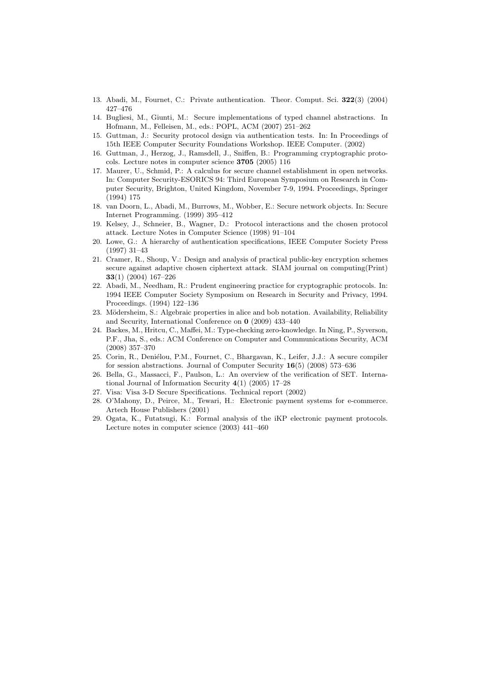- 13. Abadi, M., Fournet, C.: Private authentication. Theor. Comput. Sci. 322(3) (2004) 427–476
- 14. Bugliesi, M., Giunti, M.: Secure implementations of typed channel abstractions. In Hofmann, M., Felleisen, M., eds.: POPL, ACM (2007) 251–262
- 15. Guttman, J.: Security protocol design via authentication tests. In: In Proceedings of 15th IEEE Computer Security Foundations Workshop. IEEE Computer. (2002)
- 16. Guttman, J., Herzog, J., Ramsdell, J., Sniffen, B.: Programming cryptographic protocols. Lecture notes in computer science 3705 (2005) 116
- 17. Maurer, U., Schmid, P.: A calculus for secure channel establishment in open networks. In: Computer Security-ESORICS 94: Third European Symposium on Research in Computer Security, Brighton, United Kingdom, November 7-9, 1994. Proceedings, Springer (1994) 175
- 18. van Doorn, L., Abadi, M., Burrows, M., Wobber, E.: Secure network objects. In: Secure Internet Programming. (1999) 395–412
- 19. Kelsey, J., Schneier, B., Wagner, D.: Protocol interactions and the chosen protocol attack. Lecture Notes in Computer Science (1998) 91–104
- 20. Lowe, G.: A hierarchy of authentication specifications, IEEE Computer Society Press (1997) 31–43
- 21. Cramer, R., Shoup, V.: Design and analysis of practical public-key encryption schemes secure against adaptive chosen ciphertext attack. SIAM journal on computing(Print) 33(1) (2004) 167–226
- 22. Abadi, M., Needham, R.: Prudent engineering practice for cryptographic protocols. In: 1994 IEEE Computer Society Symposium on Research in Security and Privacy, 1994. Proceedings. (1994) 122–136
- 23. Mödersheim, S.: Algebraic properties in alice and bob notation. Availability, Reliability and Security, International Conference on 0 (2009) 433–440
- 24. Backes, M., Hritcu, C., Maffei, M.: Type-checking zero-knowledge. In Ning, P., Syverson, P.F., Jha, S., eds.: ACM Conference on Computer and Communications Security, ACM (2008) 357–370
- 25. Corin, R., Deniélou, P.M., Fournet, C., Bhargavan, K., Leifer, J.J.: A secure compiler for session abstractions. Journal of Computer Security 16(5) (2008) 573–636
- 26. Bella, G., Massacci, F., Paulson, L.: An overview of the verification of SET. International Journal of Information Security 4(1) (2005) 17–28
- 27. Visa: Visa 3-D Secure Specifications. Technical report (2002)
- 28. O'Mahony, D., Peirce, M., Tewari, H.: Electronic payment systems for e-commerce. Artech House Publishers (2001)
- 29. Ogata, K., Futatsugi, K.: Formal analysis of the iKP electronic payment protocols. Lecture notes in computer science (2003) 441–460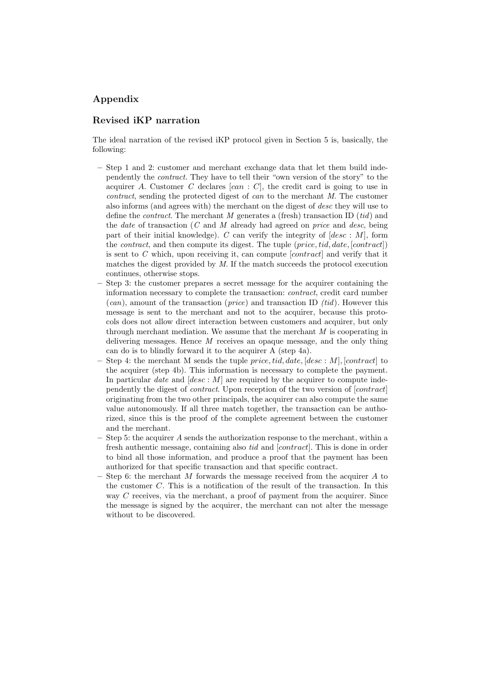## Appendix

### Revised iKP narration

The ideal narration of the revised iKP protocol given in Section 5 is, basically, the following:

- Step 1 and 2: customer and merchant exchange data that let them build independently the contract. They have to tell their "own version of the story" to the acquirer A. Customer C declares  $[can : C]$ , the credit card is going to use in contract, sending the protected digest of can to the merchant M. The customer also informs (and agrees with) the merchant on the digest of desc they will use to define the *contract*. The merchant  $M$  generates a (fresh) transaction ID (*tid*) and the *date* of transaction  $(C \text{ and } M \text{ already had agreed on price and desc, being})$ part of their initial knowledge). C can verify the integrity of  $[desc: M]$ , form the contract, and then compute its digest. The tuple (price, tid, date, [contract]) is sent to  $C$  which, upon receiving it, can compute  $[contract]$  and verify that it matches the digest provided by M. If the match succeeds the protocol execution continues, otherwise stops.
- Step 3: the customer prepares a secret message for the acquirer containing the information necessary to complete the transaction: contract, credit card number  $(can)$ , amount of the transaction (*price*) and transaction ID *(tid)*. However this message is sent to the merchant and not to the acquirer, because this protocols does not allow direct interaction between customers and acquirer, but only through merchant mediation. We assume that the merchant  $M$  is cooperating in delivering messages. Hence  $M$  receives an opaque message, and the only thing can do is to blindly forward it to the acquirer A (step 4a).
- Step 4: the merchant M sends the tuple  $price, tid, date, [desc : M], [contract]$  to the acquirer (step 4b). This information is necessary to complete the payment. In particular date and  $[desc: M]$  are required by the acquirer to compute independently the digest of contract. Upon reception of the two version of [contract] originating from the two other principals, the acquirer can also compute the same value autonomously. If all three match together, the transaction can be authorized, since this is the proof of the complete agreement between the customer and the merchant.
- $-$  Step 5: the acquirer A sends the authorization response to the merchant, within a fresh authentic message, containing also tid and [contract]. This is done in order to bind all those information, and produce a proof that the payment has been authorized for that specific transaction and that specific contract.
- Step 6: the merchant M forwards the message received from the acquirer A to the customer C. This is a notification of the result of the transaction. In this way C receives, via the merchant, a proof of payment from the acquirer. Since the message is signed by the acquirer, the merchant can not alter the message without to be discovered.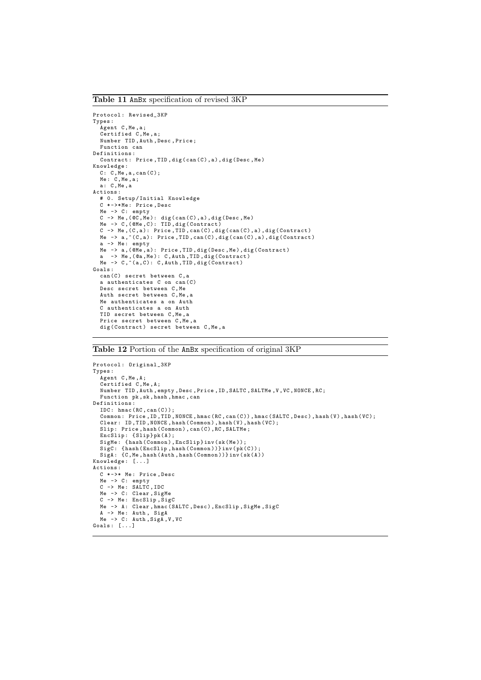Table 11 AnBx specification of revised 3KP

```
Protocol : Revised_3KP
Types :
  Agent C, Me.a:
  Certified C.Me.a;
  Number TID , Auth , Desc , Price ;
  Function can
Definitions :
  Contract : Price , TID , dig ( can (C) ,a), dig ( Desc , Me )
Knowledge :
  C: C, Me, a, can(C);Me: C, Me, a;a: C, Me, aActions :
  # 0. Setup / Initial Knowledge
  C * - >* Me : Price , Desc
Me -> C: empty
  C \rightarrow Me, (\mathbb{C}, \mathbb{M}): dig(can(C),a), dig(Desc, Me)
  Me -> C, (@Me,C): TID, dig (Contract)
  C \rightarrow Me, (C, a): Price, TID, can(C), dig(can(C), a), dig(Contract)
  Me -> a, (C, a): Price, TID, can (C), dig (can(C), a), dig ( Contract)
  a -> Me : empty
  Me -> a, (@Me,a): Price, TID, dig (Desc, Me), dig (Contract)
  a   -> Me,(@a,Me): C,Auth,TID,dig(Contract)<br>Me -> C,^(a,C): C,Auth,TID,dig(Contract)
Goals :
  can (C) secret between C, a
  a authenticates C on can (C)
  Desc secret between C , Me
  Auth secret between C, Me, a
  Me authenticates a on Auth
  C authenticates a on Auth
  TID secret between C ,Me , a
  Price secret between C, Me, a
  dig (Contract) secret between C, Me, a
```
Table 12 Portion of the AnBx specification of original 3KP

```
Protocol: Original_3KP
Types :
  Agent C , Me ,A ;
  Certified C.Me.A;
  Number TID , Auth , empty , Desc , Price , ID , SALTC , SALTMe ,V ,VC , NONCE , RC ;
  Function pk , sk , hash , hmac , can
Definitions :
  IDC: hmac(RC, can(C));
  Common: Price, ID, TID, NONCE, hmac (RC, can (C)), hmac (SALTC, Desc), hash (V), hash (VC);
  Clear: ID, TID, NONCE, hash (Common), hash (V), hash (VC);
  Slip: Price, hash (Common), can (C), RC, SALTMe;
  EncSlip: {Slip}pk(A);
  SigMe: {hash(Common), EncSlip}inv(sk(Me));
   SigC : { hash ( EncSlip , hash ( Common ))} inv ( pk (C ));
SigA : {C ,Me , hash ( Auth , hash ( Common ))} inv ( sk (A ))
Knowledge : [...]
Actions :
C * - >* Me : Price , Desc
   Me -> C: empty
C -> Me : SALTC , IDC
  Me -> C: Clear , SigMe
  C -> Me : EncSlip , SigC
   Me -> A: Clear , hmac ( SALTC , Desc ), EncSlip , SigMe , SigC
A -> Me : Auth , SigA
  Me -> C: Auth, SigA, V, VC
Goals: [...]
```